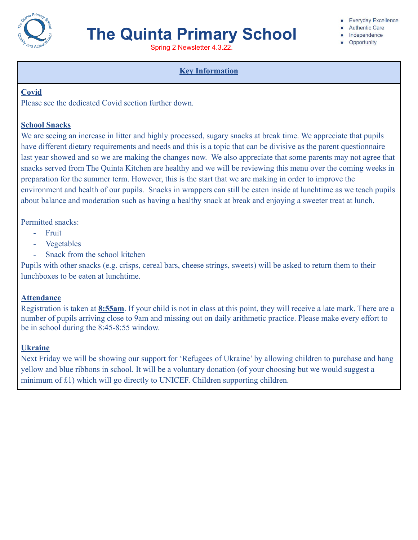

Spring 2 Newsletter 4.3.22.

### **Key Information**

### **Covid**

Please see the dedicated Covid section further down.

### **School Snacks**

We are seeing an increase in litter and highly processed, sugary snacks at break time. We appreciate that pupils have different dietary requirements and needs and this is a topic that can be divisive as the parent questionnaire last year showed and so we are making the changes now. We also appreciate that some parents may not agree that snacks served from The Quinta Kitchen are healthy and we will be reviewing this menu over the coming weeks in preparation for the summer term. However, this is the start that we are making in order to improve the environment and health of our pupils. Snacks in wrappers can still be eaten inside at lunchtime as we teach pupils about balance and moderation such as having a healthy snack at break and enjoying a sweeter treat at lunch.

Permitted snacks:

- Fruit
- **Vegetables**
- Snack from the school kitchen

Pupils with other snacks (e.g. crisps, cereal bars, cheese strings, sweets) will be asked to return them to their lunchboxes to be eaten at lunchtime.

### **Attendance**

Registration is taken at **8:55am**. If your child is not in class at this point, they will receive a late mark. There are a number of pupils arriving close to 9am and missing out on daily arithmetic practice. Please make every effort to be in school during the 8:45-8:55 window.

### **Ukraine**

Next Friday we will be showing our support for 'Refugees of Ukraine' by allowing children to purchase and hang yellow and blue ribbons in school. It will be a voluntary donation (of your choosing but we would suggest a minimum of £1) which will go directly to UNICEF. Children supporting children.

**Everyday Excellence** 

- **Authentic Care**
- · Independence
- Opportunity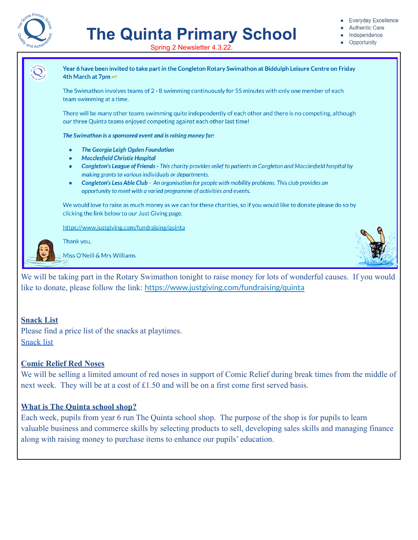

- **Authentic Care**
- Independence
- Opportunity





We will be taking part in the Rotary Swimathon tonight to raise money for lots of wonderful causes. If you would like to donate, please follow the link: <https://www.justgiving.com/fundraising/quinta>

### **Snack List**

Please find a price list of the snacks at playtimes. [Snack list](https://drive.google.com/file/d/1qngrH7XYmF-9kEYmjRtq1zxrWb3XA_vB/view?usp=sharing)

### **Comic Relief Red Noses**

We will be selling a limited amount of red noses in support of Comic Relief during break times from the middle of next week. They will be at a cost of £1.50 and will be on a first come first served basis.

### **What is The Quinta school shop?**

Each week, pupils from year 6 run The Quinta school shop. The purpose of the shop is for pupils to learn valuable business and commerce skills by selecting products to sell, developing sales skills and managing finance along with raising money to purchase items to enhance our pupils' education.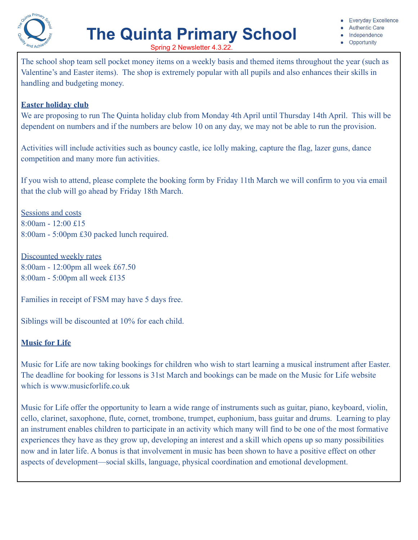

- **Authentic Care**
- Independence
- Opportunity

Spring 2 Newsletter 4.3.22.

The school shop team sell pocket money items on a weekly basis and themed items throughout the year (such as Valentine's and Easter items). The shop is extremely popular with all pupils and also enhances their skills in handling and budgeting money.

### **Easter holiday club**

We are proposing to run The Quinta holiday club from Monday 4th April until Thursday 14th April. This will be dependent on numbers and if the numbers are below 10 on any day, we may not be able to run the provision.

Activities will include activities such as bouncy castle, ice lolly making, capture the flag, lazer guns, dance competition and many more fun activities.

If you wish to attend, please complete the booking form by Friday 11th March we will confirm to you via email that the club will go ahead by Friday 18th March.

Sessions and costs 8:00am - 12:00 £15 8:00am - 5:00pm £30 packed lunch required.

Discounted weekly rates 8:00am - 12:00pm all week £67.50 8:00am - 5:00pm all week £135

Families in receipt of FSM may have 5 days free.

Siblings will be discounted at 10% for each child.

### **Music for Life**

Music for Life are now taking bookings for children who wish to start learning a musical instrument after Easter. The deadline for booking for lessons is 31st March and bookings can be made on the Music for Life website which is www.musicforlife.co.uk

Music for Life offer the opportunity to learn a wide range of instruments such as guitar, piano, keyboard, violin, cello, clarinet, saxophone, flute, cornet, trombone, trumpet, euphonium, bass guitar and drums. Learning to play an instrument enables children to participate in an activity which many will find to be one of the most formative experiences they have as they grow up, developing an interest and a skill which opens up so many possibilities now and in later life. A bonus is that involvement in music has been shown to have a positive effect on other aspects of development—social skills, language, physical coordination and emotional development.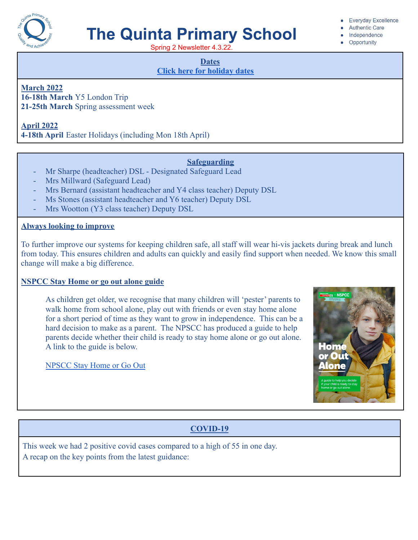

Spring 2 Newsletter 4.3.22.

#### **Dates**

**[Click here for holiday dates](http://www.thequinta.cheshire.sch.uk/serve_file/2308637)**

**March 2022**

**16-18th March** Y5 London Trip **21-25th March** Spring assessment week

**April 2022**

**4-18th April** Easter Holidays (including Mon 18th April)

### **Safeguarding**

- Mr Sharpe (headteacher) DSL Designated Safeguard Lead
- Mrs Millward (Safeguard Lead)
- Mrs Bernard (assistant headteacher and Y4 class teacher) Deputy DSL
- Ms Stones (assistant headteacher and Y6 teacher) Deputy DSL
- Mrs Wootton (Y3 class teacher) Deputy DSL

### **Always looking to improve**

To further improve our systems for keeping children safe, all staff will wear hi-vis jackets during break and lunch from today. This ensures children and adults can quickly and easily find support when needed. We know this small change will make a big difference.

### **NSPCC Stay Home or go out alone guide**

As children get older, we recognise that many children will 'pester' parents to walk home from school alone, play out with friends or even stay home alone for a short period of time as they want to grow in independence. This can be a hard decision to make as a parent. The NPSCC has produced a guide to help parents decide whether their child is ready to stay home alone or go out alone. A link to the guide is below.

[NPSCC Stay Home or Go Out](https://drive.google.com/file/d/1fBJz_UfQn6zsPkLFRmFPuEB7tsBshtY6/view?usp=sharing)



### **COVID-19**

This week we had 2 positive covid cases compared to a high of 55 in one day. A recap on the key points from the latest guidance:

#### **Everyday Excellence**

- **Authentic Care**
- Independence
- Opportunity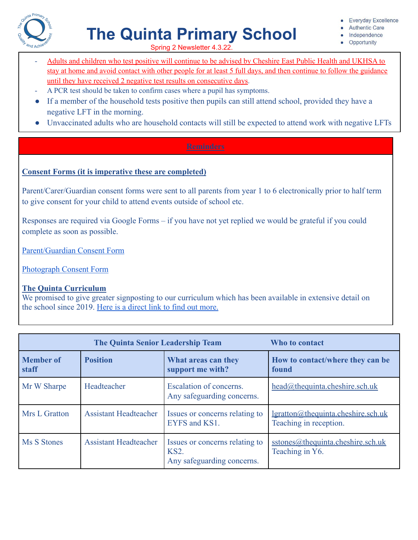

- **Authentic Care**
- Independence
- Opportunity

Spring 2 Newsletter 4.3.22.

- Adults and children who test positive will continue to be advised by Cheshire East Public Health and UKHSA to stay at home and avoid contact with other people for at least 5 full days, and then continue to follow the guidance until they have received 2 negative test results on consecutive days.
- A PCR test should be taken to confirm cases where a pupil has symptoms.
- If a member of the household tests positive then pupils can still attend school, provided they have a negative LFT in the morning.
- Unvaccinated adults who are household contacts will still be expected to attend work with negative LFTs

### **Consent Forms (it is imperative these are completed)**

Parent/Carer/Guardian consent forms were sent to all parents from year 1 to 6 electronically prior to half term to give consent for your child to attend events outside of school etc.

Responses are required via Google Forms – if you have not yet replied we would be grateful if you could complete as soon as possible.

[Parent/Guardian Consent Form](https://docs.google.com/forms/d/1-Am2VzkE0FldZsU46uBlVMrWzJJpG-rhXdSjaVe9Eko/edit?usp=sharing_eip_m&ts=6220ffd9)

[Photograph Consent Form](https://forms.gle/kaffxR2MJs82ukyBA)

### **The Quinta Curriculum**

We promised to give greater signposting to our curriculum which has been available in extensive detail on the school since 2019. [Here is a direct link to find](https://docs.google.com/document/d/1KPqKBwrMCFjK2NrlWh5SdgZ2HVcpNmOB_0O2nknBiwg/edit?usp=sharing) out more.

| <b>The Quinta Senior Leadership Team</b> |                              |                                                                             | Who to contact                                                      |
|------------------------------------------|------------------------------|-----------------------------------------------------------------------------|---------------------------------------------------------------------|
| <b>Member</b> of<br>staff                | <b>Position</b>              | What areas can they<br>support me with?                                     | How to contact/where they can be<br>found                           |
| Mr W Sharpe                              | Headteacher                  | Escalation of concerns.<br>Any safeguarding concerns.                       | $head@$ thequinta.cheshire.sch.uk                                   |
| Mrs L Gratton                            | <b>Assistant Headteacher</b> | Issues or concerns relating to<br>EYFS and KS1.                             | <u>lgratton@thequinta.cheshire.sch.uk</u><br>Teaching in reception. |
| Ms S Stones                              | <b>Assistant Headteacher</b> | Issues or concerns relating to<br><b>KS2.</b><br>Any safeguarding concerns. | sstones@thequinta.cheshire.sch.uk<br>Teaching in Y6.                |